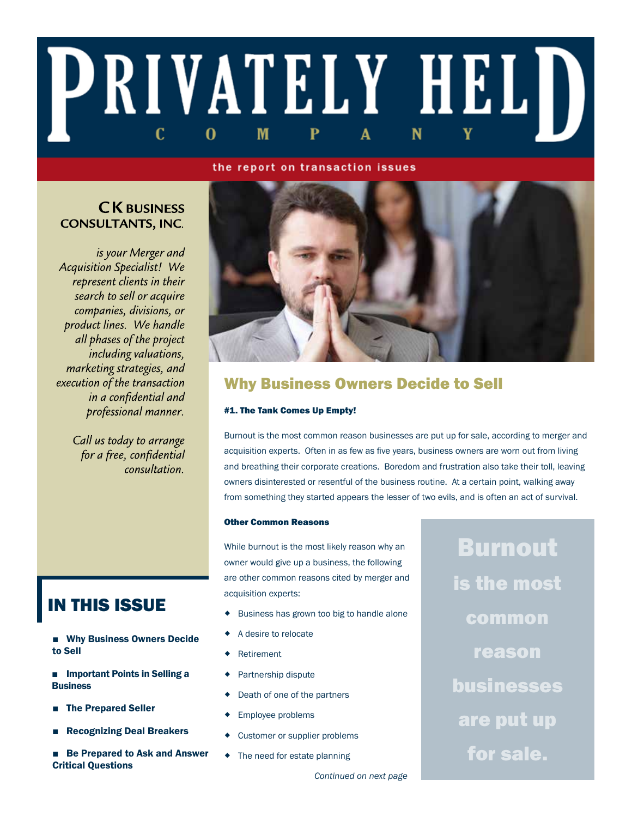## PRIVATELY HELD  $\mathbf{C}$ M 0

#### the report on transaction issues

### **CK BUSINESS CONSULTANTS, INC.**

is your Merger and **Acquisition Specialist!** We represent clients in their search to sell or acquire companies, divisions, or product lines. We handle all phases of the project including valuations, marketing strategies, and execution of the transaction in a confidential and professional manner.

> Call us today to arrange for a free, confidential consultation.



### Why Business Owners Decide to Sell

#### #1. The Tank Comes Up Empty!

Burnout is the most common reason businesses are put up for sale, according to merger and acquisition experts. Often in as few as five years, business owners are worn out from living and breathing their corporate creations. Boredom and frustration also take their toll, leaving owners disinterested or resentful of the business routine. At a certain point, walking away from something they started appears the lesser of two evils, and is often an act of survival.

#### Other Common Reasons

While burnout is the most likely reason why an owner would give up a business, the following are other common reasons cited by merger and acquisition experts:

- Business has grown too big to handle alone
- A desire to relocate
- Retirement
- Partnership dispute
- Death of one of the partners
- Employee problems
- Customer or supplier problems
- The need for estate planning

Burnout is the most common reason businesses are put up for sale.

## IN THIS ISSUE

- Why Business Owners Decide to Sell
- Important Points in Selling a **Business**
- **The Prepared Seller**
- **Recognizing Deal Breakers**
- Be Prepared to Ask and Answer Critical Questions

*Continued on next page*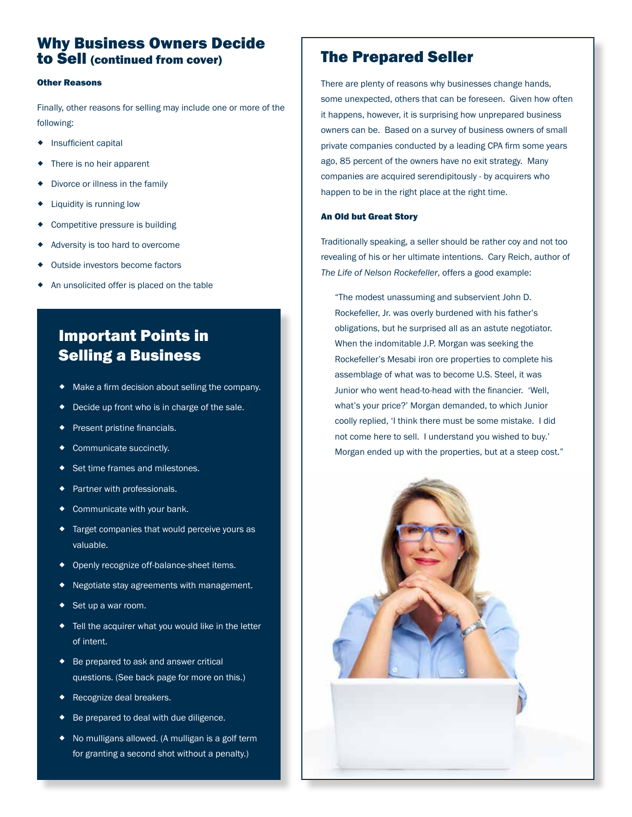### Why Business Owners Decide to Sell (continued from cover) The Prepared Seller

#### Other Reasons

Finally, other reasons for selling may include one or more of the following:

- **+** Insufficient capital
- There is no heir apparent
- Divorce or illness in the family
- Liquidity is running low
- Competitive pressure is building
- Adversity is too hard to overcome
- Outside investors become factors
- An unsolicited offer is placed on the table

### Important Points in Selling a Business

- Make a firm decision about selling the company.
- Decide up front who is in charge of the sale.
- Present pristine financials.
- Communicate succinctly.
- ◆ Set time frames and milestones.
- Partner with professionals.
- Communicate with your bank.
- Target companies that would perceive yours as valuable.
- ◆ Openly recognize off-balance-sheet items.
- Negotiate stay agreements with management.
- Set up a war room.
- Tell the acquirer what you would like in the letter of intent.
- ◆ Be prepared to ask and answer critical questions. (See back page for more on this.)
- Recognize deal breakers.
- Be prepared to deal with due diligence.
- No mulligans allowed. (A mulligan is a golf term for granting a second shot without a penalty.)

There are plenty of reasons why businesses change hands, some unexpected, others that can be foreseen. Given how often it happens, however, it is surprising how unprepared business owners can be. Based on a survey of business owners of small private companies conducted by a leading CPA firm some years ago, 85 percent of the owners have no exit strategy. Many companies are acquired serendipitously - by acquirers who happen to be in the right place at the right time.

#### An Old but Great Story

Traditionally speaking, a seller should be rather coy and not too revealing of his or her ultimate intentions. Cary Reich, author of *The Life of Nelson Rockefeller*, offers a good example:

"The modest unassuming and subservient John D. Rockefeller, Jr. was overly burdened with his father's obligations, but he surprised all as an astute negotiator. When the indomitable J.P. Morgan was seeking the Rockefeller's Mesabi iron ore properties to complete his assemblage of what was to become U.S. Steel, it was Junior who went head-to-head with the financier. 'Well, what's your price?' Morgan demanded, to which Junior coolly replied, 'I think there must be some mistake. I did not come here to sell. I understand you wished to buy.' Morgan ended up with the properties, but at a steep cost."

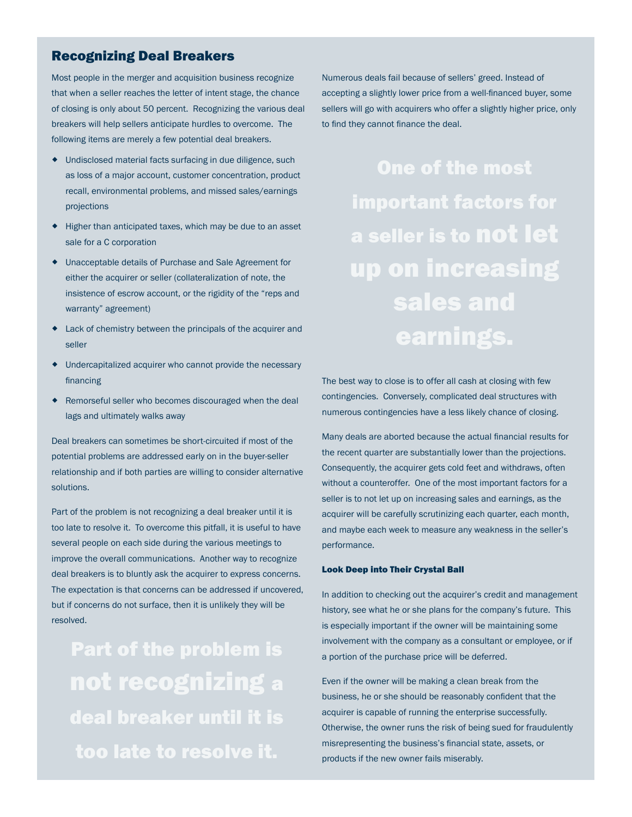#### Recognizing Deal Breakers

Most people in the merger and acquisition business recognize that when a seller reaches the letter of intent stage, the chance of closing is only about 50 percent. Recognizing the various deal breakers will help sellers anticipate hurdles to overcome. The following items are merely a few potential deal breakers.

- Undisclosed material facts surfacing in due diligence, such as loss of a major account, customer concentration, product recall, environmental problems, and missed sales/earnings projections
- Higher than anticipated taxes, which may be due to an asset sale for a C corporation
- Unacceptable details of Purchase and Sale Agreement for either the acquirer or seller (collateralization of note, the insistence of escrow account, or the rigidity of the "reps and warranty" agreement)
- Lack of chemistry between the principals of the acquirer and seller
- Undercapitalized acquirer who cannot provide the necessary financing
- Remorseful seller who becomes discouraged when the deal lags and ultimately walks away

Deal breakers can sometimes be short-circuited if most of the potential problems are addressed early on in the buyer-seller relationship and if both parties are willing to consider alternative solutions.

Part of the problem is not recognizing a deal breaker until it is too late to resolve it. To overcome this pitfall, it is useful to have several people on each side during the various meetings to improve the overall communications. Another way to recognize deal breakers is to bluntly ask the acquirer to express concerns. The expectation is that concerns can be addressed if uncovered, but if concerns do not surface, then it is unlikely they will be resolved.

Part of the problem is not recognizing a deal breaker until it is too late to resolve it.

Numerous deals fail because of sellers' greed. Instead of accepting a slightly lower price from a well-financed buyer, some sellers will go with acquirers who offer a slightly higher price, only to find they cannot finance the deal.

> One of the most important factors for a seller is to not let up on increasing sales and earnings.

The best way to close is to offer all cash at closing with few contingencies. Conversely, complicated deal structures with numerous contingencies have a less likely chance of closing.

seller is to not let up on increasing sales and earnings, as the<br>acquirer will be carefully scrutinizing each quarter, each month and maybe each week to measure any weakness in the seller's<br>performance. Many deals are aborted because the actual financial results for the recent quarter are substantially lower than the projections. Consequently, the acquirer gets cold feet and withdraws, often without a counteroffer. One of the most important factors for a acquirer will be carefully scrutinizing each quarter, each month, performance.

### ...is the first one. Look Deep into Their Crystal Ball

In addition to checking out the acquirer's credit and management history, see what he or she plans for the company's future. This is especially important if the owner will be maintaining some involvement with the company as a consultant or employee, or if a portion of the purchase price will be deferred.

Even if the owner will be making a clean break from the business, he or she should be reasonably confident that the acquirer is capable of running the enterprise successfully. Otherwise, the owner runs the risk of being sued for fraudulently misrepresenting the business's financial state, assets, or products if the new owner fails miserably.